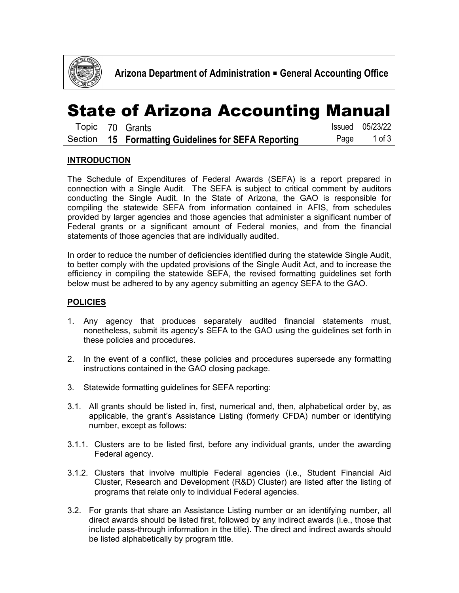

# State of Arizona Accounting Manual

|  | Topic 70 Grants                                     | <b>Issued</b> 05/23/22 |
|--|-----------------------------------------------------|------------------------|
|  | Section 15 Formatting Guidelines for SEFA Reporting | Page 1 of 3            |

### **INTRODUCTION**

The Schedule of Expenditures of Federal Awards (SEFA) is a report prepared in connection with a Single Audit. The SEFA is subject to critical comment by auditors conducting the Single Audit. In the State of Arizona, the GAO is responsible for compiling the statewide SEFA from information contained in AFIS, from schedules provided by larger agencies and those agencies that administer a significant number of Federal grants or a significant amount of Federal monies, and from the financial statements of those agencies that are individually audited.

In order to reduce the number of deficiencies identified during the statewide Single Audit, to better comply with the updated provisions of the Single Audit Act, and to increase the efficiency in compiling the statewide SEFA, the revised formatting guidelines set forth below must be adhered to by any agency submitting an agency SEFA to the GAO.

#### **POLICIES**

- 1. Any agency that produces separately audited financial statements must, nonetheless, submit its agency's SEFA to the GAO using the guidelines set forth in these policies and procedures.
- 2. In the event of a conflict, these policies and procedures supersede any formatting instructions contained in the GAO closing package.
- 3. Statewide formatting guidelines for SEFA reporting:
- 3.1. All grants should be listed in, first, numerical and, then, alphabetical order by, as applicable, the grant's Assistance Listing (formerly CFDA) number or identifying number, except as follows:
- 3.1.1. Clusters are to be listed first, before any individual grants, under the awarding Federal agency.
- 3.1.2. Clusters that involve multiple Federal agencies (i.e., Student Financial Aid Cluster, Research and Development (R&D) Cluster) are listed after the listing of programs that relate only to individual Federal agencies.
- 3.2. For grants that share an Assistance Listing number or an identifying number, all direct awards should be listed first, followed by any indirect awards (i.e., those that include pass-through information in the title). The direct and indirect awards should be listed alphabetically by program title.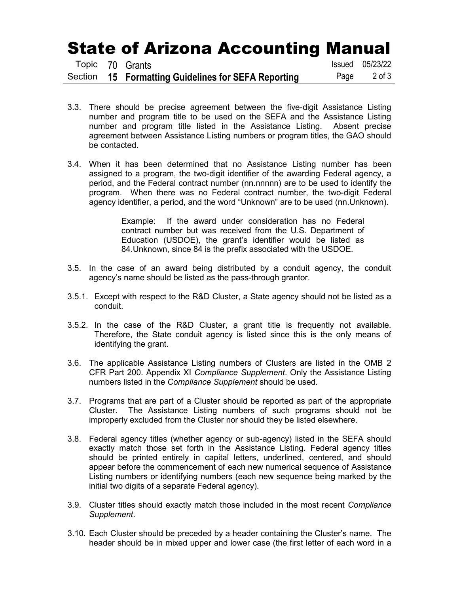## State of Arizona Accounting Manual

|  | Topic 70 Grants                                     | Issued 05/23/22 |
|--|-----------------------------------------------------|-----------------|
|  | Section 15 Formatting Guidelines for SEFA Reporting | Page 2 of 3     |

- 3.3. There should be precise agreement between the five-digit Assistance Listing number and program title to be used on the SEFA and the Assistance Listing number and program title listed in the Assistance Listing. Absent precise agreement between Assistance Listing numbers or program titles, the GAO should be contacted.
- 3.4. When it has been determined that no Assistance Listing number has been assigned to a program, the two-digit identifier of the awarding Federal agency, a period, and the Federal contract number (nn.nnnnn) are to be used to identify the program. When there was no Federal contract number, the two-digit Federal agency identifier, a period, and the word "Unknown" are to be used (nn.Unknown).

Example: If the award under consideration has no Federal contract number but was received from the U.S. Department of Education (USDOE), the grant's identifier would be listed as 84.Unknown, since 84 is the prefix associated with the USDOE.

- 3.5. In the case of an award being distributed by a conduit agency, the conduit agency's name should be listed as the pass-through grantor.
- 3.5.1. Except with respect to the R&D Cluster, a State agency should not be listed as a conduit.
- 3.5.2. In the case of the R&D Cluster, a grant title is frequently not available. Therefore, the State conduit agency is listed since this is the only means of identifying the grant.
- 3.6. The applicable Assistance Listing numbers of Clusters are listed in the OMB 2 CFR Part 200. Appendix XI *Compliance Supplement*. Only the Assistance Listing numbers listed in the *Compliance Supplement* should be used.
- 3.7. Programs that are part of a Cluster should be reported as part of the appropriate Cluster. The Assistance Listing numbers of such programs should not be improperly excluded from the Cluster nor should they be listed elsewhere.
- 3.8. Federal agency titles (whether agency or sub-agency) listed in the SEFA should exactly match those set forth in the Assistance Listing. Federal agency titles should be printed entirely in capital letters, underlined, centered, and should appear before the commencement of each new numerical sequence of Assistance Listing numbers or identifying numbers (each new sequence being marked by the initial two digits of a separate Federal agency).
- 3.9. Cluster titles should exactly match those included in the most recent *Compliance Supplement*.
- 3.10. Each Cluster should be preceded by a header containing the Cluster's name. The header should be in mixed upper and lower case (the first letter of each word in a